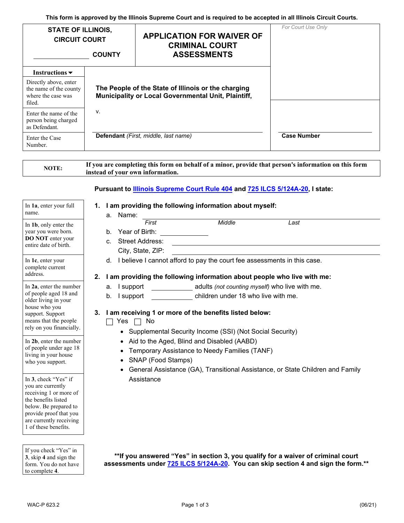**This form is approved by the Illinois Supreme Court and is required to be accepted in all Illinois Circuit Courts.** 

| <b>STATE OF ILLINOIS,</b><br><b>CIRCUIT COURT</b>                               | <b>COUNTY</b>                                                                                              | <b>APPLICATION FOR WAIVER OF</b><br><b>CRIMINAL COURT</b><br><b>ASSESSMENTS</b> | For Court Use Only |
|---------------------------------------------------------------------------------|------------------------------------------------------------------------------------------------------------|---------------------------------------------------------------------------------|--------------------|
| Instructions $\blacktriangleright$                                              |                                                                                                            |                                                                                 |                    |
| Directly above, enter<br>the name of the county<br>where the case was<br>filed. | The People of the State of Illinois or the charging<br>Municipality or Local Governmental Unit, Plaintiff, |                                                                                 |                    |
| Enter the name of the<br>person being charged<br>as Defendant.                  | V.                                                                                                         |                                                                                 |                    |
| Enter the Case<br>Number.                                                       | Defendant (First, middle, last name)                                                                       |                                                                                 | <b>Case Number</b> |

## **Pursuant to Illinois Supreme Court Rule 404 and 725 ILCS 5/124A-20, I state:**

| name.<br>a. Name:<br>First<br>In 1b, only enter the<br>year you were born.<br>Year of Birth:<br>b.<br><b>DO NOT</b> enter your<br><b>Street Address:</b><br>$\mathbf{C}$ .<br>entire date of birth.<br>City, State, ZIP:<br>d.<br>In 1c, enter your<br>complete current<br>address.<br>2.<br>I support<br>In 2a, enter the number<br>a.<br>of people aged 18 and<br>I support<br>b.<br>older living in your<br>house who you<br>3. | Middle<br>Last<br>I believe I cannot afford to pay the court fee assessments in this case.<br>I am providing the following information about people who live with me:<br>adults (not counting myself) who live with me.<br>children under 18 who live with me. |  |  |  |  |
|------------------------------------------------------------------------------------------------------------------------------------------------------------------------------------------------------------------------------------------------------------------------------------------------------------------------------------------------------------------------------------------------------------------------------------|----------------------------------------------------------------------------------------------------------------------------------------------------------------------------------------------------------------------------------------------------------------|--|--|--|--|
|                                                                                                                                                                                                                                                                                                                                                                                                                                    |                                                                                                                                                                                                                                                                |  |  |  |  |
|                                                                                                                                                                                                                                                                                                                                                                                                                                    |                                                                                                                                                                                                                                                                |  |  |  |  |
| support. Support<br>means that the people                                                                                                                                                                                                                                                                                                                                                                                          |                                                                                                                                                                                                                                                                |  |  |  |  |
| rely on you financially.                                                                                                                                                                                                                                                                                                                                                                                                           | I am receiving 1 or more of the benefits listed below:<br>No<br>Yes<br>• Supplemental Security Income (SSI) (Not Social Security)                                                                                                                              |  |  |  |  |
| In 2b, enter the number<br>of people under age 18<br>living in your house<br>SNAP (Food Stamps)<br>$\bullet$<br>who you support.                                                                                                                                                                                                                                                                                                   | Aid to the Aged, Blind and Disabled (AABD)<br>Temporary Assistance to Needy Families (TANF)<br>General Assistance (GA), Transitional Assistance, or State Children and Family                                                                                  |  |  |  |  |
| Assistance<br>In 3, check "Yes" if<br>you are currently<br>receiving 1 or more of<br>the benefits listed<br>below. Be prepared to<br>provide proof that you<br>are currently receiving<br>1 of these benefits.                                                                                                                                                                                                                     |                                                                                                                                                                                                                                                                |  |  |  |  |

**\*\*If you answered "Yes" in section 3, you qualify for a waiver of criminal court assessments under 725 ILCS 5/124A-20. You can skip section 4 and sign the form.\*\*** 

**3**, skip **4** and sign the form. You do not have to complete **4**.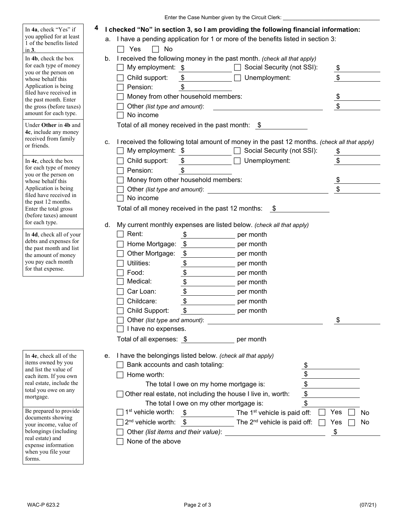|                                                                                           | Enter the Case Number given by the Circuit Clerk:                                                                                                                                              |               |
|-------------------------------------------------------------------------------------------|------------------------------------------------------------------------------------------------------------------------------------------------------------------------------------------------|---------------|
| In 4a, check "Yes" if<br>you applied for at least<br>1 of the benefits listed<br>in $3$ . | 4<br>I checked "No" in section 3, so I am providing the following financial information:<br>I have a pending application for 1 or more of the benefits listed in section 3:<br>а.<br>No<br>Yes |               |
| In 4b, check the box<br>for each type of money                                            | I received the following money in the past month. (check all that apply)<br>b.<br>My employment: \$<br>Social Security (not SSI):                                                              | $\frac{1}{2}$ |
| you or the person on<br>whose behalf this<br>Application is being                         | Child support:<br>Unemployment:<br>Pension:                                                                                                                                                    | \$            |
| filed have received in                                                                    | Money from other household members:                                                                                                                                                            | <u>\$</u>     |
| the past month. Enter<br>the gross (before taxes)<br>amount for each type.                | Other (list type and amount):<br>No income                                                                                                                                                     | \$            |
| Under Other in 4b and<br>4c, include any money                                            | Total of all money received in the past month: \$                                                                                                                                              |               |
| received from family                                                                      | I received the following total amount of money in the past 12 months. (check all that apply)<br>c.                                                                                             |               |
| or friends.                                                                               | Social Security (not SSI):<br>My employment: \$                                                                                                                                                | $\frac{1}{2}$ |
| In 4c, check the box                                                                      | Unemployment:<br>Child support:<br>\$                                                                                                                                                          | \$            |
| for each type of money                                                                    | Pension:<br>\$                                                                                                                                                                                 |               |
| you or the person on<br>whose behalf this                                                 | Money from other household members:                                                                                                                                                            | <u>\$</u>     |
| Application is being                                                                      | Other (list type and amount):                                                                                                                                                                  |               |
| filed have received in<br>the past 12 months.                                             | No income                                                                                                                                                                                      |               |
| Enter the total gross<br>(before taxes) amount                                            | Total of all money received in the past 12 months:<br>- \$                                                                                                                                     |               |
| for each type.                                                                            | My current monthly expenses are listed below. (check all that apply)<br>d.                                                                                                                     |               |
| In 4d, check all of your                                                                  | Rent:<br>\$<br>per month                                                                                                                                                                       |               |
| debts and expenses for<br>the past month and list                                         | Home Mortgage:<br>- \$<br>per month                                                                                                                                                            |               |
| the amount of money                                                                       | $\boldsymbol{\mathsf{\$}}$<br>Other Mortgage:<br>per month                                                                                                                                     |               |
| you pay each month<br>for that expense.                                                   | $\frac{1}{2}$<br>Utilities:<br>per month                                                                                                                                                       |               |
|                                                                                           | $\frac{1}{2}$<br>Food:<br>per month                                                                                                                                                            |               |
|                                                                                           | Medical:<br>per month                                                                                                                                                                          |               |
|                                                                                           | Car Loan:<br>per month                                                                                                                                                                         |               |
|                                                                                           | $\overline{\$}$<br>Childcare:<br>per month                                                                                                                                                     |               |
|                                                                                           | \$<br>Child Support:<br>per month                                                                                                                                                              |               |
|                                                                                           |                                                                                                                                                                                                | \$            |
|                                                                                           | I have no expenses.                                                                                                                                                                            |               |
|                                                                                           | Total of all expenses: \$    per month                                                                                                                                                         |               |
| In 4e, check all of the<br>items owned by you                                             | I have the belongings listed below. (check all that apply)<br>е.                                                                                                                               |               |
| and list the value of                                                                     | Bank accounts and cash totaling:                                                                                                                                                               |               |
| each item. If you own                                                                     | Home worth:                                                                                                                                                                                    |               |
| real estate, include the<br>total you owe on any                                          | $\frac{1}{2}$<br>The total I owe on my home mortgage is:                                                                                                                                       |               |
| mortgage.                                                                                 | Other real estate, not including the house I live in, worth:                                                                                                                                   |               |
| Be prepared to provide                                                                    | The total I owe on my other mortgage is:                                                                                                                                                       |               |
| documents showing                                                                         | 1 <sup>st</sup> vehicle worth:<br>$\frac{\$}{\$}$ The 1 <sup>st</sup> vehicle is paid off:                                                                                                     | Yes<br>No     |
| your income, value of                                                                     | $2^{nd}$ vehicle worth: $\frac{\$}{10^{nd}}$ The $2^{nd}$ vehicle is paid off:                                                                                                                 | Yes<br>No     |
| belongings (including<br>real estate) and                                                 | Other (list items and their value):                                                                                                                                                            | \$            |
| expense information                                                                       | None of the above                                                                                                                                                                              |               |
| when you file your<br>forms.                                                              |                                                                                                                                                                                                |               |